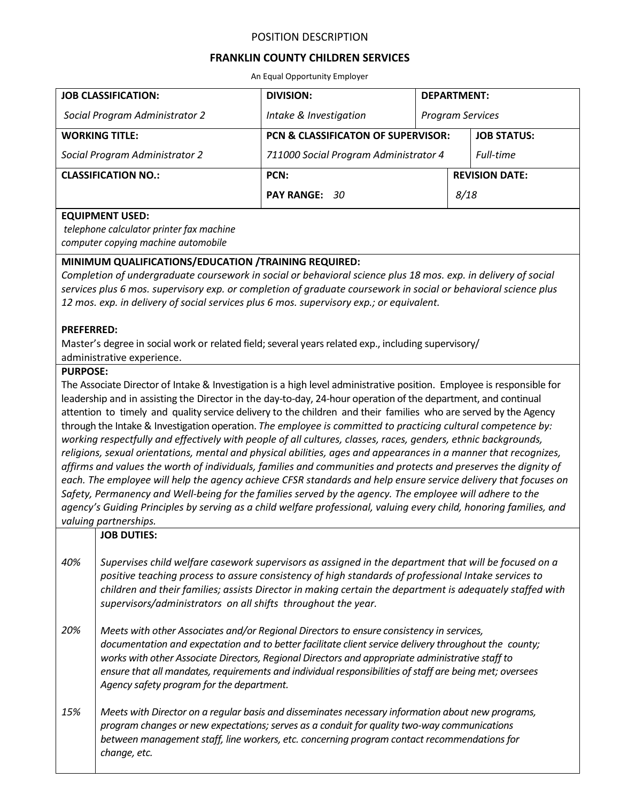## POSITION DESCRIPTION

# **FRANKLIN COUNTY CHILDREN SERVICES**

An Equal Opportunity Employer

| <b>JOB CLASSIFICATION:</b>     | <b>DIVISION:</b>                              | <b>DEPARTMENT:</b>      |                       |                    |
|--------------------------------|-----------------------------------------------|-------------------------|-----------------------|--------------------|
| Social Program Administrator 2 | Intake & Investigation                        | <b>Program Services</b> |                       |                    |
| <b>WORKING TITLE:</b>          | <b>PCN &amp; CLASSIFICATON OF SUPERVISOR:</b> |                         |                       | <b>JOB STATUS:</b> |
| Social Program Administrator 2 | 711000 Social Program Administrator 4         |                         |                       | Full-time          |
| <b>CLASSIFICATION NO.:</b>     | PCN:                                          |                         | <b>REVISION DATE:</b> |                    |
|                                | PAY RANGE: 30                                 |                         | 8/18                  |                    |

### **EQUIPMENT USED:**

*telephone calculator printer fax machine computer copying machine automobile*

# **MINIMUM QUALIFICATIONS/EDUCATION /TRAINING REQUIRED:**

*Completion of undergraduate coursework in social or behavioral science plus 18 mos. exp. in delivery of social services plus 6 mos. supervisory exp. or completion of graduate coursework in social or behavioral science plus 12 mos. exp. in delivery of social services plus 6 mos. supervisory exp.; or equivalent.*

### **PREFERRED:**

Master's degree in social work or related field; several years related exp., including supervisory/ administrative experience.

#### **PURPOSE:**

The Associate Director of Intake & Investigation is a high level administrative position. Employee is responsible for leadership and in assisting the Director in the day-to-day, 24-hour operation of the department, and continual attention to timely and quality service delivery to the children and their families who are served by the Agency through the Intake & Investigation operation. *The employee is committed to practicing cultural competence by: working respectfully and effectively with people of all cultures, classes, races, genders, ethnic backgrounds, religions, sexual orientations, mental and physical abilities, ages and appearances in a manner that recognizes, affirms and values the worth of individuals, families and communities and protects and preserves the dignity of each. The employee will help the agency achieve CFSR standards and help ensure service delivery that focuses on Safety, Permanency and Well-being for the families served by the agency. The employee will adhere to the agency's Guiding Principles by serving as a child welfare professional, valuing every child, honoring families, and valuing partnerships.*

## **JOB DUTIES:**

*40% Supervises child welfare casework supervisors as assigned in the department that will be focused on a positive teaching process to assure consistency of high standards of professional Intake services to children and their families; assists Director in making certain the department is adequately staffed with supervisors/administrators on all shifts throughout the year.*

*20% Meets with other Associates and/or Regional Directors to ensure consistency in services, documentation and expectation and to better facilitate client service delivery throughout the county; works with other Associate Directors, Regional Directors and appropriate administrative staff to ensure that all mandates, requirements and individual responsibilities of staff are being met; oversees Agency safety program for the department.*

*15% Meets with Director on a regular basis and disseminates necessary information about new programs, program changes or new expectations; serves as a conduit for quality two-way communications between management staff, line workers, etc. concerning program contact recommendations for change, etc.*